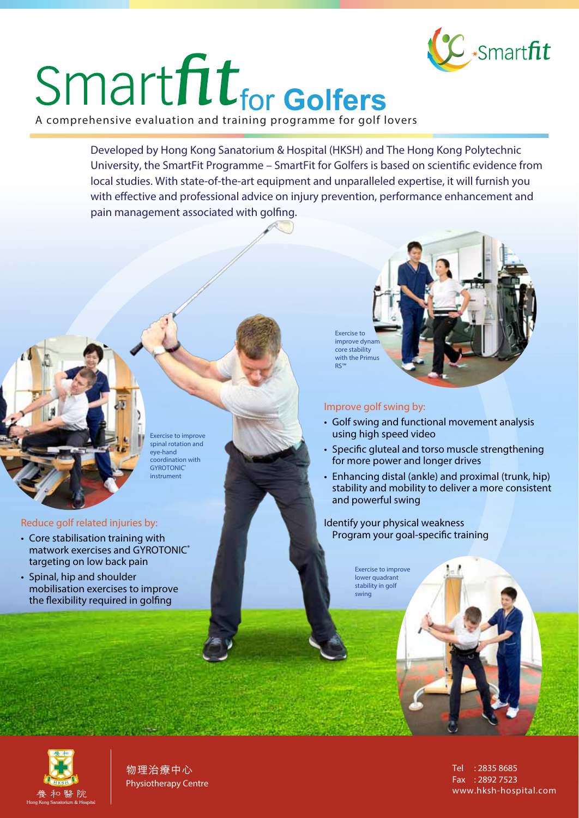# Smart fitting Colfers

Developed by Hong Kong Sanatorium & Hospital (HKSH) and The Hong Kong Polytechnic University, the SmartFit Programme – SmartFit for Golfers is based on scientific evidence from local studies. With state-of-the-art equipment and unparalleled expertise, it will furnish you with effective and professional advice on injury prevention, performance enhancement and pain management associated with golfing.

> Exercise to improve dynam. core stability with the Primus RS™

## **Improve golf swing by:**

- Golf swing and functional movement analysis using high speed video
- Specific gluteal and torso muscle strengthening for more power and longer drives
- Enhancing distal (ankle) and proximal (trunk, hip) stability and mobility to deliver a more consistent and powerful swing

## *Identify your physical weakness* **Program your goal-specific training**

Exercise to improve lower quadrant stability in golf swing



物理治療中心 Physiotherapy Centre Tel : 2835 8685 Fax : 2892 7523 www.hksh-hospital.com

Exercise to improve spinal rotation and eye-hand coordination with **GYROTONIC** instrument

# **Reduce golf related injuries by:**

- Core stabilisation training with matwork exercises and GYROTONIC® targeting on low back pain
- Spinal, hip and shoulder mobilisation exercises to improve the flexibility required in golfing